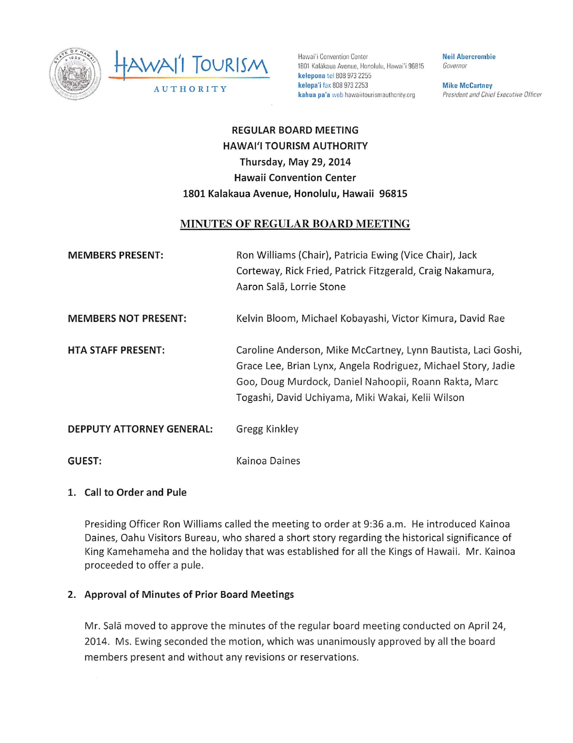



1801 Kalakaua Avenue, Honolulu, Hawai'i 96815 kelepona icl 808 9732255 kelepa'i fax 808 973 2253 kahua pa'a web hawaiitourismauthority.org

Neil Abercrombie Governor

**Mike McCartney** President and Chief Executive Officer

# REGULAR BOARD MEETING HAWAI'I TOURISM AUTHORITY Thursday, May 29, 2014 Hawaii Convention Center 1801 Kalakaua Avenue, Honolulu, Hawaii 96815

### MINUTES OF REGULAR BOARD MEETING

| <b>MEMBERS PRESENT:</b>     | Ron Williams (Chair), Patricia Ewing (Vice Chair), Jack<br>Corteway, Rick Fried, Patrick Fitzgerald, Craig Nakamura,<br>Aaron Salā, Lorrie Stone                                                                                             |
|-----------------------------|----------------------------------------------------------------------------------------------------------------------------------------------------------------------------------------------------------------------------------------------|
| <b>MEMBERS NOT PRESENT:</b> | Kelvin Bloom, Michael Kobayashi, Victor Kimura, David Rae                                                                                                                                                                                    |
| <b>HTA STAFF PRESENT:</b>   | Caroline Anderson, Mike McCartney, Lynn Bautista, Laci Goshi,<br>Grace Lee, Brian Lynx, Angela Rodriguez, Michael Story, Jadie<br>Goo, Doug Murdock, Daniel Nahoopii, Roann Rakta, Marc<br>Togashi, David Uchiyama, Miki Wakai, Kelii Wilson |
| DEPPUTY ATTORNEY GENERAL:   | Gregg Kinkley                                                                                                                                                                                                                                |
| GUEST:                      | Kainoa Daines                                                                                                                                                                                                                                |

### 1. Call to Order and Pule

Presiding Officer Ron Williams called the meeting to order at 9:36 a.m. He introduced Kainoa Daines, Oahu Visitors Bureau, who shared a short story regarding the historical significance of King Kamehameha and the holiday that was established for all the Kings of Hawaii. Mr. Kainoa proceeded to offer a pule.

### 2. Approval of Minutes of Prior Board Meetings

Mr. Sala moved to approve the minutes of the regular board meeting conducted on April 24, 2014. Ms. Ewing seconded the motion, which was unanimously approved by all the board members present and without any revisions or reservations.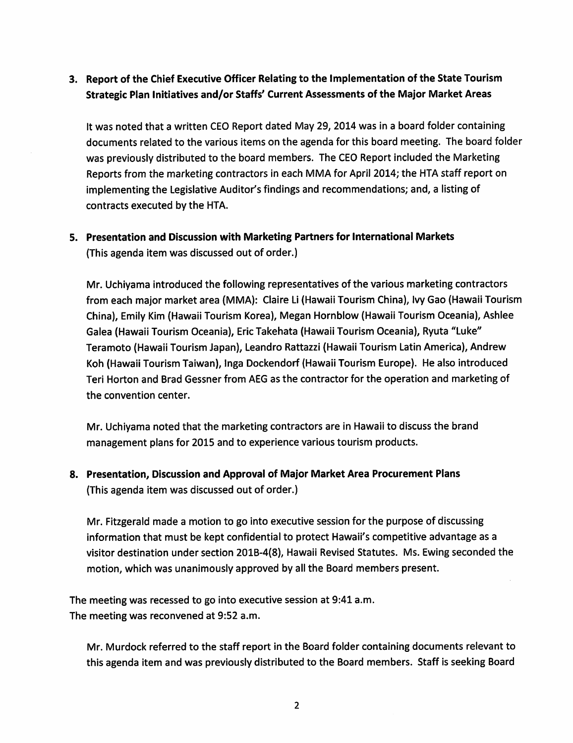## 3. Report of the Chief Executive Officer Relating to the Implementation of the State Tourism Strategic Plan Initiatives and/or Staffs' Current Assessments of the Major Market Areas

It was noted that a written CEO Report dated May 29, 2014 was in a board folder containing documents related to the various items on the agenda for this board meeting. The board folder was previouslydistributed to the board members. The CEO Report included the Marketing Reports from the marketing contractors in each MMA for April 2014; the HTA staff report on implementing the Legislative Auditor's findings and recommendations; and, a listing of contracts executed by the HTA.

## 5. Presentation and Discussion with Marketing Partners for International Markets (This agenda item was discussed out of order.)

Mr. Uchiyama introduced the following representatives of the various marketing contractors from each major market area (MMA): Claire Li (Hawaii Tourism China), Ivy Gao (Hawaii Tourism China), Emily Kim (Hawaii Tourism Korea), Megan Hornblow (Hawaii Tourism Oceania), Ashlee Galea (Hawaii Tourism Oceania), EricTakehata (Hawaii Tourism Oceania), Ryuta "Luke" Teramoto (Hawaii Tourism Japan), Leandro Rattazzi (Hawaii Tourism LatinAmerica), Andrew Koh (Hawaii Tourism Taiwan), Inga Dockendorf (Hawaii Tourism Europe). He also introduced Teri Horton and Brad Gessner from AEG as the contractor for the operation and marketing of the convention center.

Mr. Uchiyama noted that the marketing contractors are in Hawaii to discuss the brand management plans for 2015 and to experience various tourism products.

## 8. Presentation, Discussion and Approval of Major Market Area Procurement Plans (This agenda item was discussed out of order.)

Mr. Fitzgerald made a motion to go into executive session for the purpose of discussing information that must be kept confidential to protect Hawaii's competitive advantage as a visitor destination under section 201B-4(8), Hawaii Revised Statutes. Ms. Ewing seconded the motion, which was unanimously approved by all the Board members present.

The meeting was recessed to go into executive session at 9:41 a.m. The meeting was reconvened at 9:52 a.m.

Mr. Murdock referred to the staff report in the Board folder containing documents relevant to this agenda item and was previously distributed to the Board members. Staff is seeking Board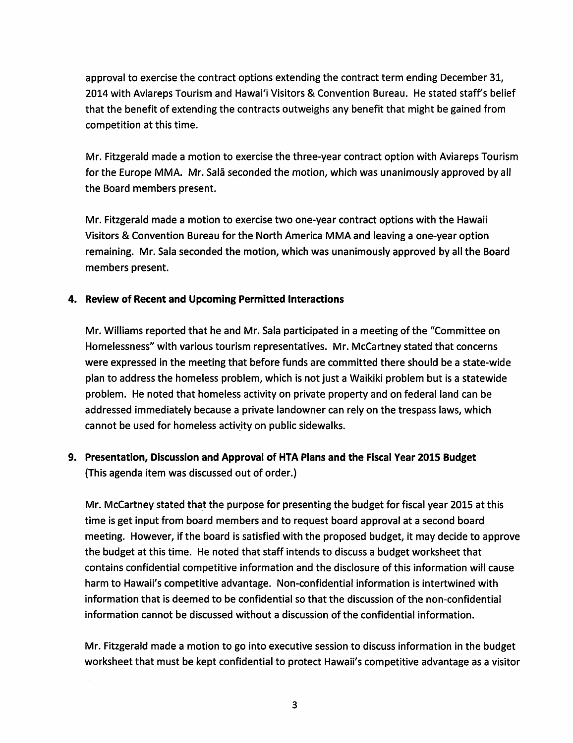approval to exercise the contract options extending the contract term ending December 31, 2014 with Aviareps Tourism and Hawai'i Visitors & Convention Bureau. He stated staff's belief that the benefit of extending the contracts outweighs any benefit that might be gained from competition at this time.

Mr. Fitzgerald made a motion to exercise the three-year contract option with Aviareps Tourism for the Europe MMA. Mr. Sala seconded the motion, which was unanimously approved by all the Board members present.

Mr. Fitzgerald made a motion to exercise two one-year contract options with the Hawaii Visitors & Convention Bureau for the North America MMA and leaving a one-year option remaining. Mr. Sala seconded the motion, which was unanimously approved by all the Board members present.

### 4. Review of Recent and Upcoming Permitted Interactions

Mr. Williams reported that he and Mr. Sala participated in a meeting of the "Committee on Homelessness" with various tourism representatives. Mr. McCartney stated that concerns were expressed in the meeting that before funds are committed there should be a state-wide plan to address the homeless problem, which is not just a Waikiki problem but is a statewide problem. He noted that homeless activity on private property and on federal land can be addressed immediately because a private landowner can rely on the trespass laws, which cannot be used for homeless activity on public sidewalks.

## 9. Presentation, Discussion and Approval of HTA Plans and the Fiscal Year 2015 Budget {This agenda item was discussed out of order.)

Mr. McCartney stated that the purpose for presenting the budget for fiscal year 2015 at this time is get input from board members and to request board approval at a second board meeting. However, ifthe board is satisfied with the proposed budget, it may decide to approve the budget at this time. He noted that staff intends to discuss a budget worksheet that contains confidential competitive information and the disclosure of this information will cause harm to Hawaii's competitive advantage. Non-confidential information is intertwined with information that is deemed to be confidential so that the discussion of the non-confidential information cannot be discussed without a discussion of the confidential information.

Mr. Fitzgerald made a motion to go into executive session to discuss information in the budget worksheet that must be kept confidential to protect Hawaii's competitive advantage as a visitor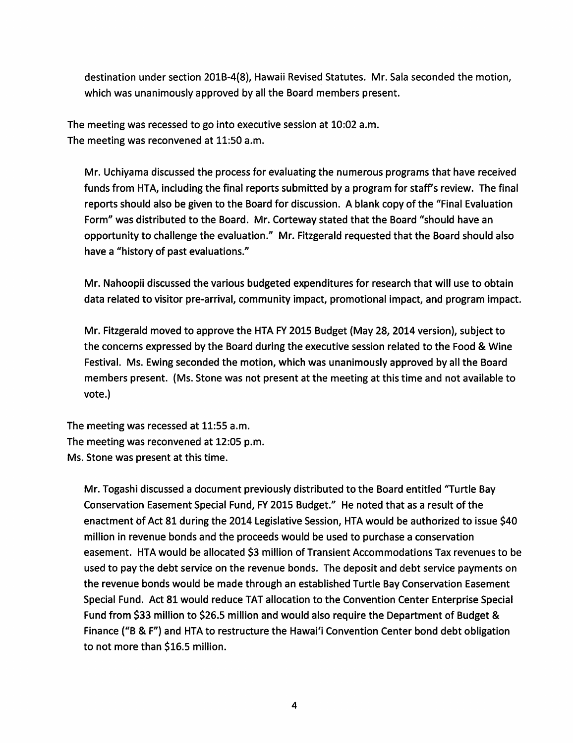destination under section 201B-4(8), Hawaii Revised Statutes. Mr. Sala seconded the motion, which was unanimously approved by all the Board members present.

The meeting was recessed to go into executive session at 10:02 a.m. The meeting was reconvened at 11:50 a.m.

Mr. Uchiyama discussed the process for evaluating the numerous programs that have received funds from HTA, including the final reports submitted by a program for staff's review. The final reports should also be given to the Board for discussion. A blank copy of the "Final Evaluation Form" was distributed to the Board. Mr. Corteway stated that the Board "should have an opportunity to challenge the evaluation." Mr. Fitzgerald requested that the Board should also have a "history of past evaluations."

Mr. Nahoopii discussed the various budgeted expenditures for research that will use to obtain data related to visitor pre-arrival, community impact, promotional impact, and program impact.

Mr. Fitzgerald moved to approve the HTA FY 2015 Budget (May 28, 2014 version), subject to the concerns expressed by the Board during the executive session related to the Food & Wine Festival. Ms. Ewing seconded the motion, which was unanimously approved by all the Board members present. (Ms. Stone was not present at the meeting at this time and not available to vote.)

The meeting was recessed at 11:55 a.m. The meeting was reconvened at 12:05 p.m. Ms. Stone was present at this time.

Mr. Togashi discussed a document previously distributed to the Board entitled "Turtle Bay Conservation Easement Special Fund, FY 2015 Budget." He noted that as a result of the enactment of Act 81 during the 2014 Legislative Session, HTA would be authorized to issue \$40 million in revenue bonds and the proceeds would be used to purchase a conservation easement. HTA would be allocated \$3 million of Transient Accommodations Tax revenues to be used to pay the debt service on the revenue bonds. The deposit and debt service payments on the revenue bonds would be made through an established Turtle Bay Conservation Easement Special Fund. Act 81 would reduce TAT allocation to the Convention Center Enterprise Special Fund from \$33 million to \$26.5 million and would also require the Department of Budget & Finance ("B & F") and HTA to restructure the Hawai'i Convention Center bond debt obligation to not more than \$16.5 million.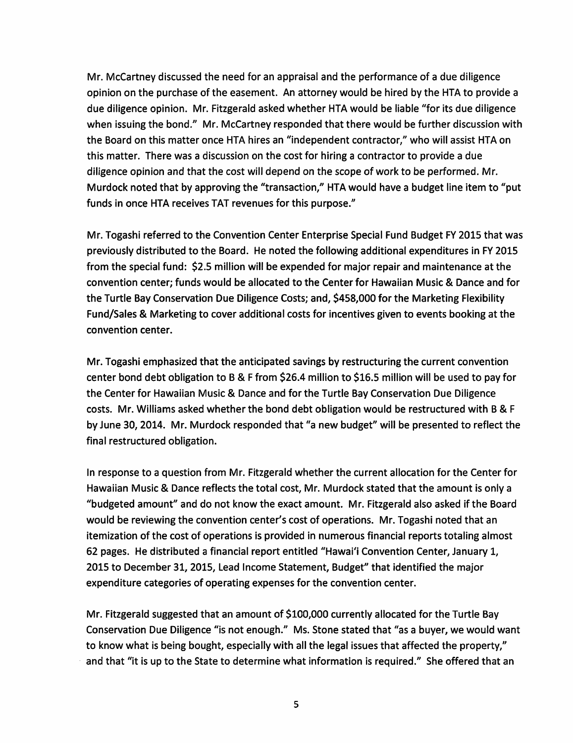Mr. McCartney discussed the need for an appraisal and the performance of a due diligence opinion on the purchase of the easement. An attorney would be hired by the HTA to provide a due diligence opinion. Mr. Fitzgerald asked whether HTA would be liable "for its due diligence when issuing the bond." Mr. McCartney responded that there would be further discussion with the Board on this matter once HTA hires an "independent contractor," who will assist HTA on this matter. There was a discussion on the cost for hiring a contractor to provide a due diligence opinion and that the cost will depend on the scope of work to be performed. Mr. Murdock noted that by approving the "transaction," HTA would have a budget line item to "put funds in once HTA receives TAT revenues for this purpose."

Mr. Togashi referred to the Convention Center Enterprise Special Fund Budget FY 2015 that was previously distributed to the Board. He noted the following additional expenditures in FY 2015 from the special fund: \$2.5 million will be expended for major repair and maintenance at the convention center; funds would be allocated to the Center for Hawaiian Music & Dance and for the Turtle Bay Conservation Due Diligence Costs; and, \$458,000 for the Marketing Flexibility Fund/Sales & Marketing to cover additional costs for incentives given to events booking at the convention center.

Mr. Togashi emphasized that the anticipated savings by restructuring the current convention center bond debt obligation to B & F from \$26.4 million to \$16.5 million will be used to pay for the Center for Hawaiian Music & Dance and for the Turtle Bay Conservation Due Diligence costs. Mr. Williams asked whether the bond debt obligation would be restructured with B & F by June 30, 2014. Mr. Murdock responded that "a new budget" will be presented to reflect the final restructured obligation.

In response to a question from Mr. Fitzgerald whether the current allocation for the Center for Hawaiian Music & Dance reflects the total cost, Mr. Murdock stated that the amount is only a "budgeted amount" and do not know the exact amount. Mr. Fitzgerald also asked if the Board would be reviewing the convention center's cost of operations. Mr. Togashi noted that an itemization of the cost of operations is provided in numerous financial reports totaling almost 62 pages. He distributed a financial report entitled "Hawai'i Convention Center, January 1, 2015 to December 31, 2015, Lead Income Statement, Budget" that identified the major expenditure categories of operating expenses for the convention center.

Mr. Fitzgerald suggested that an amount of \$100,000 currently allocated for the Turtle Bay Conservation Due Diligence "is not enough." Ms. Stone stated that "as a buyer, we would want to know what is being bought, especially with all the legal issues that affected the property," and that "it is up to the State to determine what information is required." She offered that an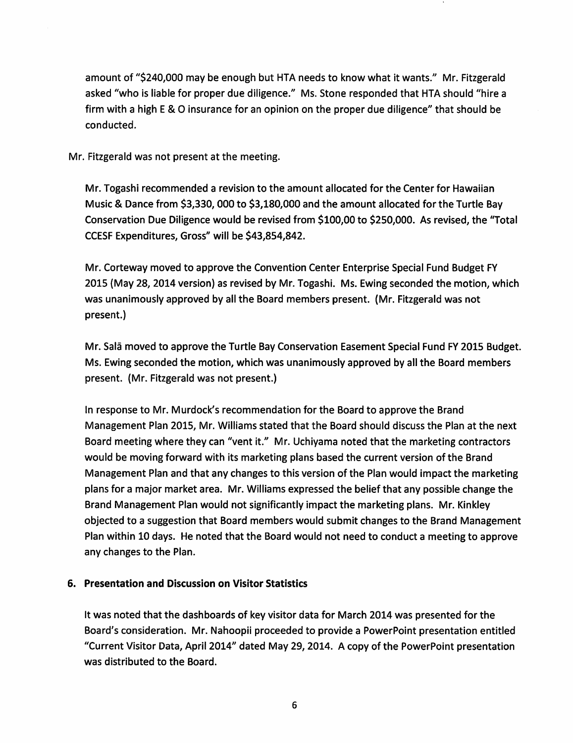amount of "\$240,000 may be enough but HTA needs to know what it wants." Mr. Fitzgerald asked "who is liable for proper due diligence." Ms. Stone responded that HTA should "hire a firm with a high E & 0 insurance for an opinion on the proper due diligence" that should be conducted.

Mr. Fitzgerald was not present at the meeting.

Mr. Togashi recommended a revision to the amount allocated for the Center for Hawaiian Music & Dance from \$3,330, 000 to \$3,180,000 and the amount allocated for the Turtle Bay Conservation Due Diligence would be revised from \$100,00 to \$250,000. As revised, the "Total CCESF Expenditures, Gross" will be \$43,854,842.

Mr. Corteway moved to approve the Convention Center Enterprise Special Fund Budget FY 2015 (May 28, 2014 version) as revised by Mr. Togashi. Ms. Ewing seconded the motion, which was unanimously approved by all the Board members present. (Mr. Fitzgerald was not present.)

Mr. Sala moved to approve the Turtle Bay Conservation Easement Special Fund FY 2015 Budget. Ms. Ewing seconded the motion, which was unanimously approved by all the Board members present. (Mr. Fitzgerald was not present.)

In response to Mr. Murdock's recommendation for the Board to approve the Brand Management Plan 2015, Mr. Williams stated that the Board should discuss the Plan at the next Board meeting where they can "vent it." Mr. Uchiyama noted that the marketing contractors would be moving forward with its marketing plans based the current version of the Brand Management Plan and that any changes to this version of the Plan would impact the marketing plans for a major market area. Mr. Williams expressed the belief that any possible change the Brand Management Plan would not significantly impact the marketing plans. Mr. KInkley objected to a suggestion that Board members would submit changes to the Brand Management Plan within 10 days. He noted that the Board would not need to conduct a meeting to approve any changes to the Plan.

#### 6. Presentation and Discussion on Visitor Statistics

It was noted that the dashboards of key visitor data for March 2014 was presented for the Board's consideration. Mr. Nahoopii proceeded to provide a PowerPoint presentation entitled "Current Visitor Data, April 2014" dated May 29,2014. A copy of the PowerPoint presentation was distributed to the Board.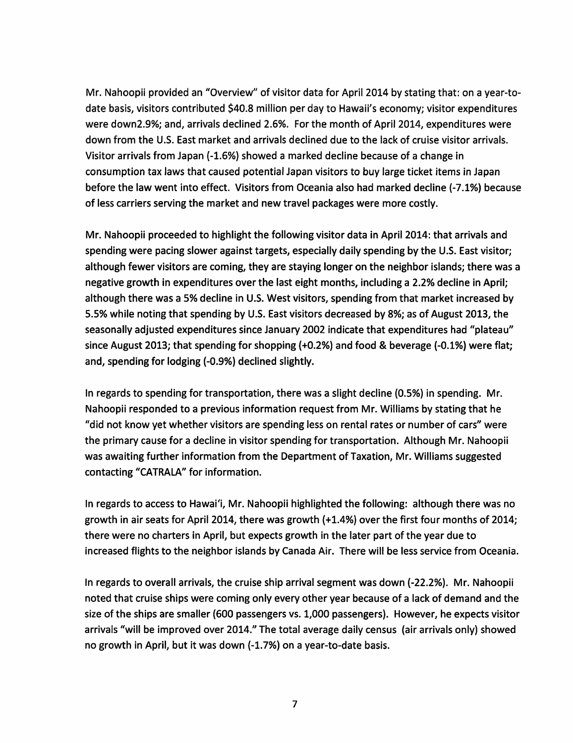Mr. Nahoopii provided an "Overview" of visitor data for April 2014 by stating that: on a year-todate basis, visitors contributed \$40.8 million per day to Hawaii's economy; visitor expenditures were down2.9%; and, arrivals declined 2.6%. For the month of April 2014, expenditures were down from the U.S. East market and arrivals declined due to the lack of cruise visitor arrivals. Visitor arrivals from Japan (-1.6%) showed a marked decline because of a change in consumption tax laws that caused potential Japan visitors to buy large ticket items in Japan before the law went into effect. Visitors from Oceania also had marked decline (-7.1%) because of less carriers serving the market and new travel packages were more costly.

Mr. Nahoopii proceeded to highlight the following visitor data in April 2014: that arrivals and spending were pacing slower against targets, especially daily spending by the U.S. East visitor; although fewer visitors are coming, they are staying longer on the neighbor islands; there was a negative growth in expenditures over the last eight months, including a 2.2% decline in April; although there was a 5% decline in U.S. West visitors, spending from that market increased by 5.5% while noting that spending by U.S. East visitors decreased by 8%; as of August 2013, the seasonally adjusted expenditures since January 2002 indicate that expenditures had "plateau" since August 2013; that spending for shopping (+0.2%) and food & beverage (-0.1%) were flat; and, spending for lodging (-0.9%) declined slightly.

In regards to spending for transportation, there was a slight decline (0.5%) in spending. Mr. Nahoopii responded to a previous information request from Mr. Williams by stating that he "did not know yet whether visitors are spending less on rental rates or number of cars" were the primary cause for a decline in visitor spending for transportation. Although Mr. Nahoopii was awaiting further information from the Department of Taxation, Mr. Williams suggested contacting "CATRALA" for information.

In regards to access to Hawai'i, Mr. Nahoopii highlighted the following: although there was no growth in air seats for April 2014, there was growth (+1.4%) over the first four months of 2014; there were no charters in April, but expects growth in the later part of the year due to increased flights to the neighbor islands by Canada Air. There will be less service from Oceania.

In regards to overall arrivals, the cruise ship arrival segment was down (-22.2%). Mr. Nahoopii noted that cruise ships were coming only every other year because of a lack of demand and the size of the ships are smaller (600 passengers vs. 1,000 passengers). However, he expects visitor arrivals "will be improved over 2014." The total average daily census (air arrivals only) showed no growth in April, but it was down (-1.7%) on a year-to-date basis.